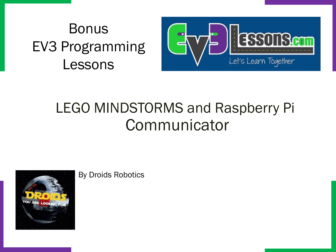## Bonus EV3 Programming Lessons



## LEGO MINDSTORMS and Raspberry Pi Communicator



By Droids Robotics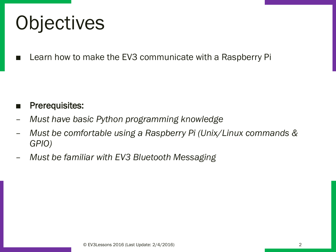# **Objectives**

Learn how to make the EV3 communicate with a Raspberry Pi

#### Prerequisites:

- *Must have basic Python programming knowledge*
- *Must be comfortable using a Raspberry Pi (Unix/Linux commands & GPIO)*
- *Must be familiar with EV3 Bluetooth Messaging*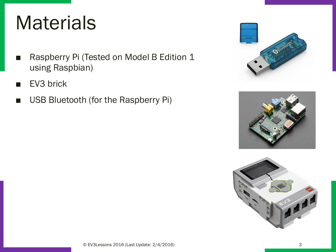## **Materials**

- Raspberry Pi (Tested on Model B Edition 1 using Raspbian)
- EV3 brick
- USB Bluetooth (for the Raspberry Pi)





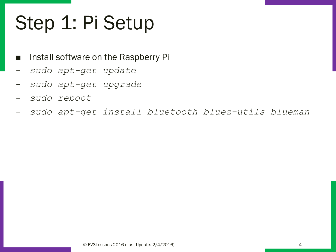# Step 1: Pi Setup

- Install software on the Raspberry Pi
- *sudo apt-get update*
- *sudo apt-get upgrade*
- *sudo reboot*
- *sudo apt-get install bluetooth bluez-utils blueman*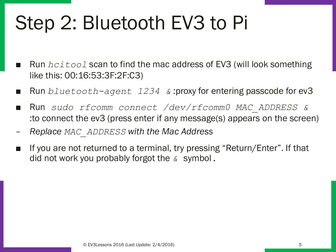# Step 2: Bluetooth EV3 to Pi

- Run *hcitool* scan to find the mac address of EV3 (will look something like this: 00:16:53:3F:2F:C3)
- Run *bluetooth-agent 1234 &* :proxy for entering passcode for ev3
- Run *sudo rfcomm connect /dev/rfcomm0 MAC\_ADDRESS &* :to connect the ev3 (press enter if any message(s) appears on the screen)
- *Replace MAC\_ADDRESS with the Mac Address*
- If you are not returned to a terminal, try pressing "Return/Enter". If that did not work you probably forgot the *&* symbol*.*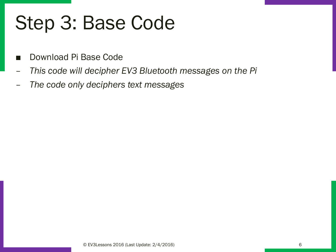## Step 3: Base Code

- Download Pi Base Code
- *This code will decipher EV3 Bluetooth messages on the Pi*
- *The code only deciphers text messages*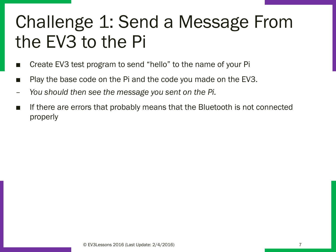## Challenge 1: Send a Message From the EV3 to the Pi

- Create EV3 test program to send "hello" to the name of your Pi
- Play the base code on the Pi and the code you made on the EV3.
- *You should then see the message you sent on the Pi.*
- If there are errors that probably means that the Bluetooth is not connected properly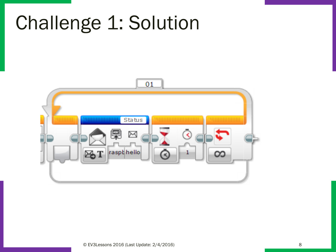## Challenge 1: Solution

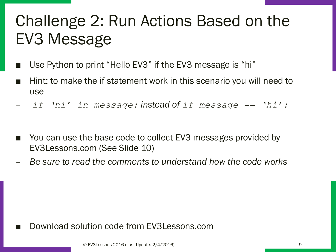## Challenge 2: Run Actions Based on the EV3 Message

- Use Python to print "Hello EV3" if the EV3 message is "hi"
- Hint: to make the if statement work in this scenario you will need to use
- *if 'hi' in message: instead of if message == 'hi':*
- You can use the base code to collect EV3 messages provided by EV3Lessons.com (See Slide 10)
- *Be sure to read the comments to understand how the code works*

Download solution code from EV3Lessons.com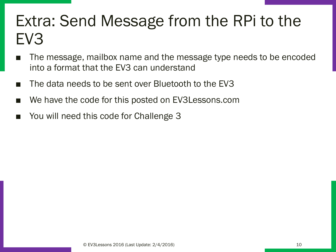## Extra: Send Message from the RPi to the EV3

- The message, mailbox name and the message type needs to be encoded into a format that the EV3 can understand
- The data needs to be sent over Bluetooth to the EV3
- We have the code for this posted on EV3Lessons.com
- You will need this code for Challenge 3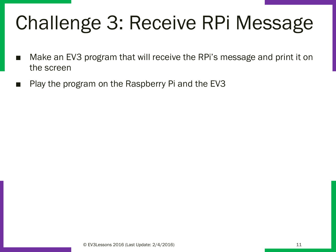# Challenge 3: Receive RPi Message

- Make an EV3 program that will receive the RPi's message and print it on the screen
- Play the program on the Raspberry Pi and the EV3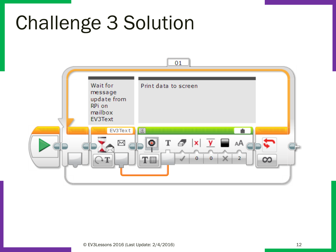## Challenge 3 Solution